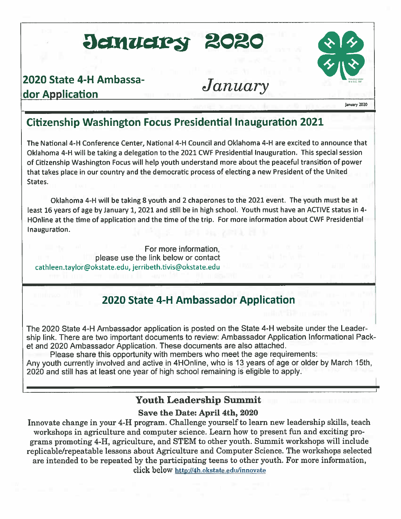## Jenuelry 2020

## 2020 State 4-H Ambassador Application

## January



#### January 2020

## **Citizenship Washington Focus Presidential Inauguration 2021**

The National 4-H Conference Center, National 4-H Council and Oklahoma 4-H are excited to announce that Oklahoma 4-H will be taking a delegation to the 2021 CWF Presidential Inauguration. This special session of Citizenship Washington Focus will help youth understand more about the peaceful transition of power that takes place in our country and the democratic process of electing a new President of the United States.

Oklahoma 4-H will be taking 8 youth and 2 chaperones to the 2021 event. The youth must be at least 16 years of age by January 1, 2021 and still be in high school. Youth must have an ACTIVE status in 4-HOnline at the time of application and the time of the trip. For more information about CWF Presidential Inauguration.

For more information. please use the link below or contact cathleen.taylor@okstate.edu, jerribeth.tivis@okstate.edu

## 2020 State 4-H Ambassador Application

The 2020 State 4-H Ambassador application is posted on the State 4-H website under the Leadership link. There are two important documents to review: Ambassador Application Informational Packet and 2020 Ambassador Application. These documents are also attached.

Please share this opportunity with members who meet the age requirements: Any youth currently involved and active in 4HOnline, who is 13 years of age or older by March 15th, 2020 and still has at least one year of high school remaining is eligible to apply.

## **Youth Leadership Summit**

#### Save the Date: April 4th, 2020

Innovate change in your 4-H program. Challenge yourself to learn new leadership skills, teach workshops in agriculture and computer science. Learn how to present fun and exciting programs promoting 4-H, agriculture, and STEM to other youth. Summit workshops will include replicable/repeatable lessons about Agriculture and Computer Science. The workshops selected are intended to be repeated by the participating teens to other youth. For more information, click below http://4h.okstate.edu/innovate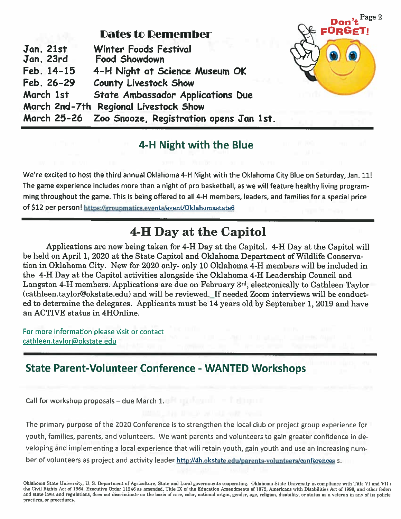### **Dates to Demember**

| <b>Jan. 21st</b><br>Jan. 23rd |            | <b>Winter Foods Festival</b><br><b>Food Showdown</b> |  |
|-------------------------------|------------|------------------------------------------------------|--|
|                               | Feb. 14-15 | 4-H Night at Science Museum OK                       |  |
|                               | Feb. 26-29 | <b>County Livestock Show</b>                         |  |
|                               | March 1st  | <b>State Ambassador Applications Due</b>             |  |
|                               |            | March 2nd-7th Regional Livestock Show                |  |
|                               |            | March 25-26 Zoo Snooze, Registration opens Jan 1st.  |  |

## 4-H Night with the Blue

Page 2

- FOR(

We're excited to host the third annual Oklahoma 4-H Night with the Oklahoma City Blue on Saturday, Jan. 11! The game experience includes more than a night of pro basketball, as we will feature healthy living programming throughout the game. This is being offered to all 4-H members, leaders, and families for a special price of \$12 per person! https://groupmatics.events/event/Oklahomastate6

## **4-H Day at the Capitol**

Applications are now being taken for 4-H Day at the Capitol. 4-H Day at the Capitol will be held on April 1, 2020 at the State Capitol and Oklahoma Department of Wildlife Conservation in Oklahoma City. New for 2020 only- only 10 Oklahoma 4-H members will be included in the 4-H Day at the Capitol activities alongside the Oklahoma 4-H Leadership Council and Langston 4-H members. Applications are due on February 3<sup>rd</sup>, electronically to Cathleen Taylor (cathleen.taylor@okstate.edu) and will be reviewed. If needed Zoom interviews will be conducted to determine the delegates. Applicants must be 14 years old by September 1, 2019 and have an ACTIVE status in 4HOnline.

For more information please visit or contact cathleen.taylor@okstate.edu

## **State Parent-Volunteer Conference - WANTED Workshops**

Call for workshop proposals - due March 1.

The primary purpose of the 2020 Conference is to strengthen the local club or project group experience for youth, families, parents, and volunteers. We want parents and volunteers to gain greater confidence in developing and implementing a local experience that will retain youth, gain youth and use an increasing number of volunteers as project and activity leader http://4h.okstate.edu/parents-volunteers/conferences s.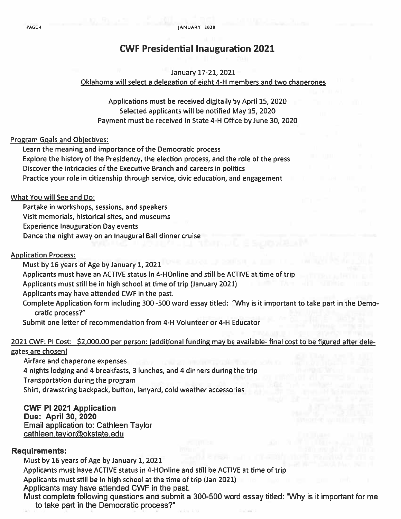### **CWF Presidential Inauguration 2021**

#### January 17-21, 2021

#### Oklahoma will select a delegation of eight 4-H members and two chaperones

Applications must be received digitally by April 15, 2020 Selected applicants will be notified May 15, 2020 Payment must be received in State 4-H Office by June 30, 2020

#### **Program Goals and Objectives:**

Learn the meaning and importance of the Democratic process Explore the history of the Presidency, the election process, and the role of the press Discover the intricacies of the Executive Branch and careers in politics Practice your role in citizenship through service, civic education, and engagement

#### What You will See and Do:

Partake in workshops, sessions, and speakers Visit memorials, historical sites, and museums **Experience Inauguration Day events** Dance the night away on an Inaugural Ball dinner cruise

#### **Application Process:**

Must by 16 years of Age by January 1, 2021 Applicants must have an ACTIVE status in 4-HOnline and still be ACTIVE at time of trip Applicants must still be in high school at time of trip (January 2021) Applicants may have attended CWF in the past. Complete Application form including 300-500 word essay titled: "Why is it important to take part in the Democratic process?"

Submit one letter of recommendation from 4-H Volunteer or 4-H Educator

#### 2021 CWF: PI Cost: \$2,000.00 per person: (additional funding may be available- final cost to be figured after delegates are chosen)

Airfare and chaperone expenses 4 nights lodging and 4 breakfasts, 3 lunches, and 4 dinners during the trip Transportation during the program Shirt, drawstring backpack, button, lanyard, cold weather accessories

**CWF PI 2021 Application Due: April 30, 2020 Email application to: Cathleen Taylor** cathleen.taylor@okstate.edu

#### **Requirements:**

Must by 16 years of Age by January 1, 2021 Applicants must have ACTIVE status in 4-HOnline and still be ACTIVE at time of trip Applicants must still be in high school at the time of trip (Jan 2021) Applicants may have attended CWF in the past.

Must complete following questions and submit a 300-500 word essay titled: "Why is it important for me to take part in the Democratic process?"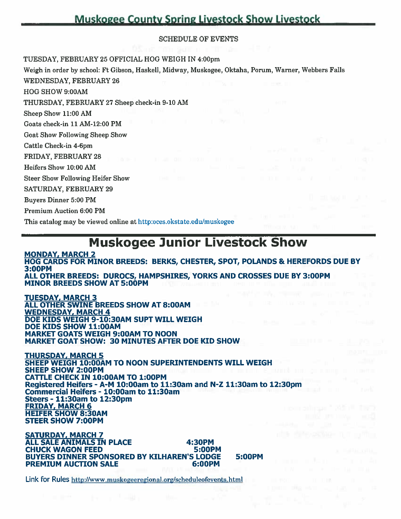## **Muskogee County Spring Livestock Show Livestock**

#### **SCHEDULE OF EVENTS**

TUESDAY, FEBRUARY 25 OFFICIAL HOG WEIGH IN 4:00pm

Weigh in order by school: Ft Gibson, Haskell, Midway, Muskogee, Oktaha, Porum, Warner, Webbers Falls **WEDNESDAY, FEBRUARY 26** HOG SHOW 9:00AM THURSDAY, FEBRUARY 27 Sheep check-in 9-10 AM Sheep Show 11:00 AM Goats check-in 11 AM-12:00 PM **Goat Show Following Sheep Show** 

Cattle Check-in 4-6pm

FRIDAY, FEBRUARY 28

Heifers Show 10:00 AM

**Steer Show Following Heifer Show** 

**SATURDAY, FEBRUARY 29** 

**Buvers Dinner 5:00 PM** 

**Premium Auction 6:00 PM** 

This catalog may be viewed online at http:oces.okstate.edu/muskogee

## **Muskogee Junior Livestock Show**

**MONDAY, MARCH 2** HOG CARDS FOR MINOR BREEDS: BERKS, CHESTER, SPOT, POLANDS & HEREFORDS DUE BY 3:00PM ALL OTHER BREEDS: DUROCS, HAMPSHIRES, YORKS AND CROSSES DUE BY 3:00PM **MINOR BREEDS SHOW AT 5:00PM** 

**TUESDAY, MARCH 3** ALL OTHER SWINE BREEDS SHOW AT 8:00AM **WEDNESDAY, MARCH 4** DOE KIDS WEIGH 9-10:30AM SUPT WILL WEIGH DOE KIDS SHOW 11:00AM MARKET GOATS WEIGH 9:00AM TO NOON **MARKET GOAT SHOW: 30 MINUTES AFTER DOE KID SHOW** 

THURSDAY, MARCH 5 SHEEP WEIGH 10:00AM TO NOON SUPERINTENDENTS WILL WEIGH **SHEEP SHOW 2:00PM CATTLE CHECK IN 10:00AM TO 1:00PM** Registered Heifers - A-M 10:00am to 11:30am and N-Z 11:30am to 12:30pm Commercial Heifers - 10:00am to 11:30am Steers - 11:30am to 12:30pm **FRIDAY, MARCH 6 HEIFER SHOW 8:30AM STEER SHOW 7:00PM** 

**SATURDAY, MARCH 7 ALL SALE ANIMALS IN PLACE** 4:30PM **CHUCK WAGON FEED 5:00PM BUYERS DINNER SPONSORED BY KILHAREN'S LODGE PREMIUM AUCTION SALE** 6:00PM

5:00PM

Link for Rules http://www.muskogeeregional.org/scheduleofevents.html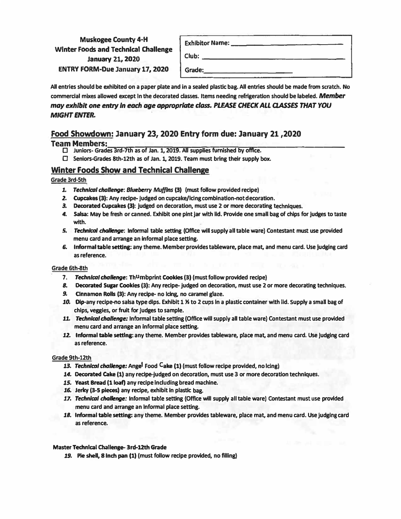#### **Muskogee County 4-H Winter Foods and Technical Challenge January 21, 2020 ENTRY FORM-Due January 17, 2020**

| <b>Exhibitor Name:</b> |  |
|------------------------|--|
| Club:                  |  |
| Grade:                 |  |

**All entries should be exhibited on a paper plate and In a sealed plastic bag. All entries should be made from scratch. No commercial mixes allowed except In the decorated dasses. Items needing refrigeration should be labeled.** *Member* may exhibit one entry in each age appropriate class. PLEASE CHECK ALL CLASSES THAT YOU *MIGHT ENTER.* 

#### **Food Showdown: January 23, 2020 Entry form due: January 21,2020**

- **Team Members:,\_\_,,....,...,,...,...-.,,..,...\_\_,.....,,.... ........ -..--.....--...,...,.--,-,,\_...,.. \_\_\_\_\_\_\_\_ \_** □ **Juniors- Grades 3rd-7th as of Jan. 1, 2019. All supplies furnished** by **office.** 
	- □ **Senlors�rades 8th-12th as of Jan. 1, 2019. Team must bring their supply box.**

#### **Winter Foods Show and Technical Challenge**

#### **Grade 3rd-5th**

- **l.** *Technical* **chaDenge:** *Blue�rry Muffins* (3) **(must follow provided recipe)**
- **2. Cupcakes(3): Any recipe-judged on cupcake/lclng combinatlon-not decoratlon.**
- *3.* **Decorated Cupcakes (3): judged on decoration, must use 2 or more decorating techniques.**
- **4. Salsa: May be fresh or canned. Exhibit one pint jar with lid. Provide one small bag of chips for judges to taste with.**
- *5, TechnlCDI* **challenge: Informal table setting (Office will supply all table ware) Contestant must use provided menu card and arrange an informal place setting.**
- *6.* **Informal table setting: any theme. Member provides tableware, place mat, and menu card. Use judging card as reference.**

#### **Grade 6th-8th**

- **7.** *Technical* **challenge: ThUmbprint Cookies (3) (must follow provided recipe)**
- *8.* **Decorated Supr Cookies (3): Any recipe-judged on decoration, must use 2 or more decorating techniques.**
- *9.* **Cnnamon Rolls** (3): **Any recipe- no Icing, no caramel glaze.**
- **lO. Dip-any recipe-no salsa type dips. Exhibit 1 � to 2 cups In a plastic container with lid. Supply a small bag of chips, veggies, or fruit for Judges to sample.**
- **11.** *Technical* **challenge: Informal table setting (Office will supply all table ware) Contestant must use provided menu card and arrange an Informal place setting.**
- **l2. Informal table settlna: any theme. Member provides tableware, place mat, and menu card. Use Judging card as reference.**

#### **Grade 9th-12th**

- **13.** *Technical* **challenge: Angel Food Cake (1) (must follow recipe provided, no ldng)**
- **14. Decorated Cake** (1) **any recipe-judged on decoration, must use 3 or more decoration techniques.**
- **15.** Yeast Bread (1 **loaf) any recipe Including bread machine.**
- **l6. Jerky (3-5 pieces) any recipe, exhibit In plastic bag.**
- 17. **Technical challenge:** Informal table setting (Office will supply all table ware) Contestant must use provided **menu card and arrange an Informal place setting.**
- **lB. Informal table setting: any theme. Member provides tableware, place mat, and menu card. Use Judging card as reference.**

#### **Master Technical Challenge-3rd-12th Grade**

*19.* **Pie shell, & Inch pan (1) (must follow recipe provided, no filling)**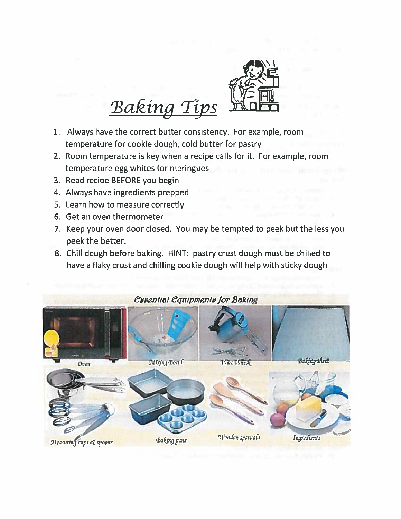

# **Baking Tips**

- 1. Always have the correct butter consistency. For example, room temperature for cookie dough, cold butter for pastry
- 2. Room temperature is key when a recipe calls for it. For example, room temperature egg whites for meringues
- 3. Read recipe BEFORE you begin
- 4. Always have ingredients prepped
- 5. Learn how to measure correctly
- 6. Get an oven thermometer
- 7. Keep your oven door closed. You may be tempted to peek but the less you peek the better.
- 8. Chill dough before baking. HINT: pastry crust dough must be chilled to have a flaky crust and chilling cookie dough will help with sticky dough

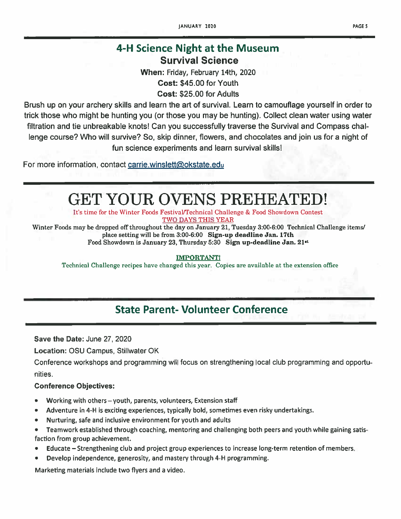## 4-H Science Night at the Museum **Survival Science**

When: Friday, February 14th, 2020 Cost: \$45.00 for Youth Cost: \$25.00 for Adults

Brush up on your archery skills and learn the art of survival. Learn to camouflage yourself in order to trick those who might be hunting you (or those you may be hunting). Collect clean water using water filtration and tie unbreakable knots! Can you successfully traverse the Survival and Compass challenge course? Who will survive? So, skip dinner, flowers, and chocolates and join us for a night of fun science experiments and learn survival skills!

For more information, contact carrie.winslett@okstate.edu

## **GET YOUR OVENS PREHEATED!**

It's time for the Winter Foods Festival/Technical Challenge & Food Showdown Contest TWO DAYS THIS YEAR

Winter Foods may be dropped off throughout the day on January 21, Tuesday 3:00-6:00 Technical Challenge items/ place setting will be from 3:00-6:00 Sign-up deadline Jan. 17th Food Showdown is January 23, Thursday 5:30 Sign up-deadline Jan. 21<sup>st</sup>

**IMPORTANT!** 

Technical Challenge recipes have changed this year. Copies are available at the extension office

## **State Parent- Volunteer Conference**

Save the Date: June 27, 2020

**Location: OSU Campus, Stillwater OK** 

Conference workshops and programming will focus on strengthening local club programming and opportunities.

#### **Conference Objectives:**

- Working with others youth, parents, volunteers, Extension staff
- Adventure in 4-H is exciting experiences, typically bold, sometimes even risky undertakings.
- Nurturing, safe and inclusive environment for youth and adults
- Teamwork established through coaching, mentoring and challenging both peers and youth while gaining satisfaction from group achievement.
- Educate Strengthening club and project group experiences to increase long-term retention of members.
- Develop independence, generosity, and mastery through 4-H programming.

Marketing materials include two flyers and a video.